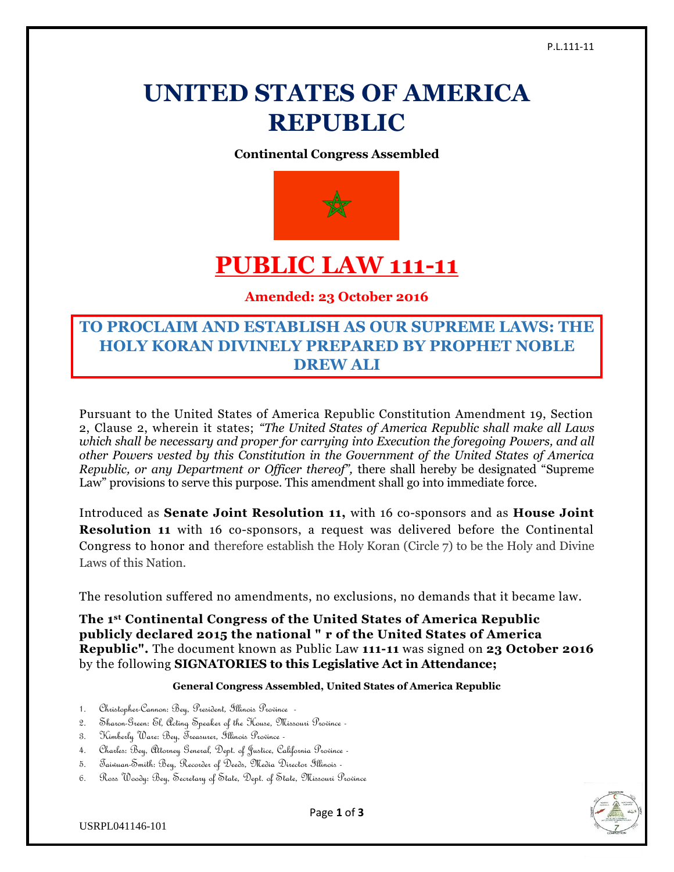# **UNITED STATES OF AMERICA REPUBLIC**

**Continental Congress Assembled**



# **PUBLIC LAW 111-11**

**Amended: 23 October 2016**

# **TO PROCLAIM AND ESTABLISH AS OUR SUPREME LAWS: THE HOLY KORAN DIVINELY PREPARED BY PROPHET NOBLE DREW ALI**

Pursuant to the United States of America Republic Constitution Amendment 19, Section 2, Clause 2, wherein it states; *"The United States of America Republic shall make all Laws which shall be necessary and proper for carrying into Execution the foregoing Powers, and all other Powers vested by this Constitution in the Government of the United States of America Republic, or any Department or Officer thereof",* there shall hereby be designated "Supreme Law" provisions to serve this purpose. This amendment shall go into immediate force.

Introduced as **Senate Joint Resolution 11,** with 16 co-sponsors and as **House Joint Resolution 11** with 16 co-sponsors, a request was delivered before the Continental Congress to honor and therefore establish the Holy Koran (Circle 7) to be the Holy and Divine Laws of this Nation.

The resolution suffered no amendments, no exclusions, no demands that it became law.

**The 1st Continental Congress of the United States of America Republic publicly declared 2015 the national " r of the United States of America Republic".** The document known as Public Law **111-11** was signed on **23 October 2016** by the following **SIGNATORIES to this Legislative Act in Attendance;**

### **General Congress Assembled, United States of America Republic**

- 1. Christopher-Cannon: Bey, President, Illinois Province -
- 2. Sharon-Green: El, Acting Speaker of the House, Missouri Province -
- 3. Kimberly Ware: Bey, Treasurer, Illinois Province -
- 4. Charles: Bey, Attorney General, Dept. of Justice, California Province -
- 5. Taiwuan-Smith: Bey, Recorder of Deeds, Media Director Illinois -
- 6. Ross Woody: Bey, Secretary of State, Dept. of State, Missouri Province



Page **1** of **3**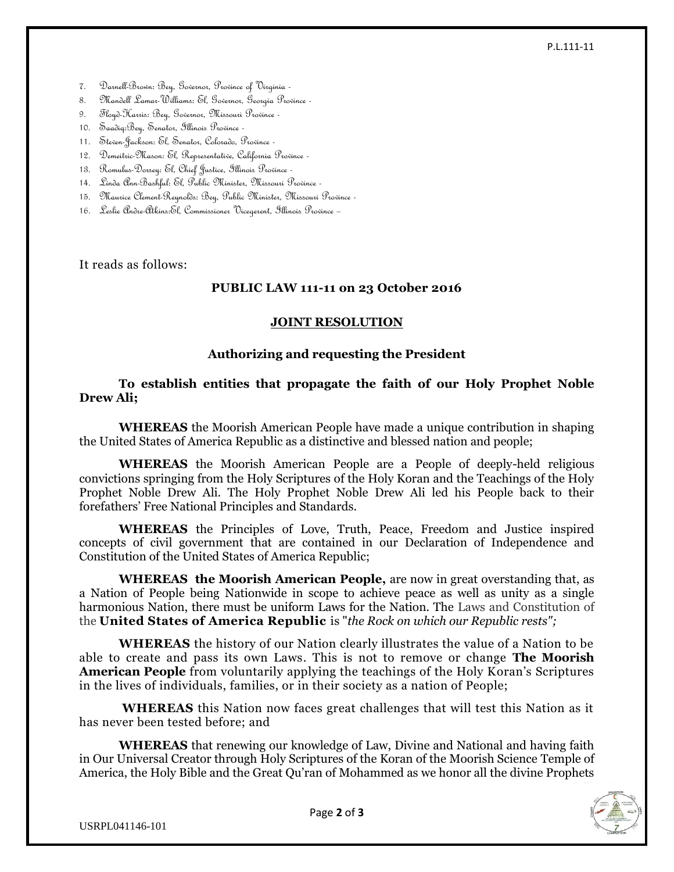#### P.L.111-11

- 7. Darnell-Brown: Bey, Governor, Province of Virginia -
- 8. Mandell Lamar-Williams: El, Governor, Georgia Province -
- 9. Floyd-Harris: Bey, Governor, Missouri Province -
- 10. Saadiq:Bey, Senator, Illinois Province -
- 11. Steven-Jackson: El, Senator, Colorado, Province -
- 12. Demeitric-Mason: El, Representative, California Province -
- 13. Romulus-Dorsey: El, Chief Justice, Illinois Province -
- 14. Linda Ann-Bashful: El, Public Minister, Missouri Province -
- 15. Maurice Clement-Reynolds: Bey, Public Minister, Missouri Province -
- 16. Leslie Andre-Atkins:El, Commissioner Vicegerent, Illinois Province –

It reads as follows:

# **PUBLIC LAW 111-11 on 23 October 2016**

### **JOINT RESOLUTION**

# **Authorizing and requesting the President**

# **To establish entities that propagate the faith of our Holy Prophet Noble Drew Ali;**

**WHEREAS** the Moorish American People have made a unique contribution in shaping the United States of America Republic as a distinctive and blessed nation and people;

**WHEREAS** the Moorish American People are a People of deeply-held religious convictions springing from the Holy Scriptures of the Holy Koran and the Teachings of the Holy Prophet Noble Drew Ali. The Holy Prophet Noble Drew Ali led his People back to their forefathers' Free National Principles and Standards.

**WHEREAS** the Principles of Love, Truth, Peace, Freedom and Justice inspired concepts of civil government that are contained in our Declaration of Independence and Constitution of the United States of America Republic;

**WHEREAS the Moorish American People,** are now in great overstanding that, as a Nation of People being Nationwide in scope to achieve peace as well as unity as a single harmonious Nation, there must be uniform Laws for the Nation. The Laws and Constitution of the **United States of America Republic** is "*the Rock on which our Republic rests";*

**WHEREAS** the history of our Nation clearly illustrates the value of a Nation to be able to create and pass its own Laws. This is not to remove or change **The Moorish American People** from voluntarily applying the teachings of the Holy Koran's Scriptures in the lives of individuals, families, or in their society as a nation of People;

**WHEREAS** this Nation now faces great challenges that will test this Nation as it has never been tested before; and

**WHEREAS** that renewing our knowledge of Law, Divine and National and having faith in Our Universal Creator through Holy Scriptures of the Koran of the Moorish Science Temple of America, the Holy Bible and the Great Qu'ran of Mohammed as we honor all the divine Prophets